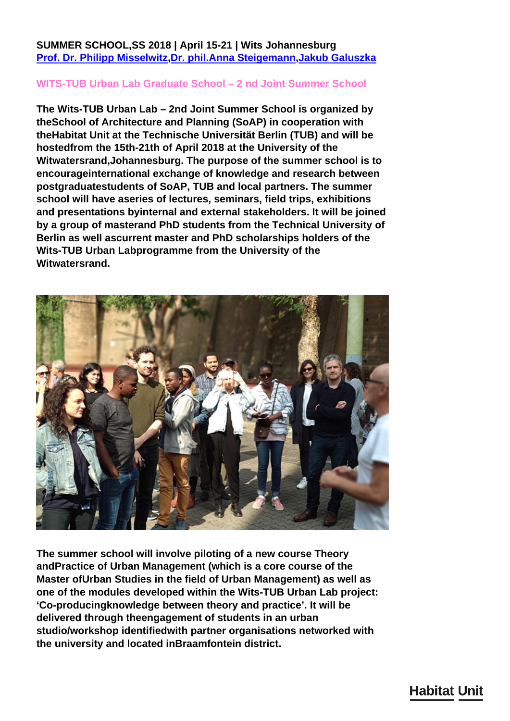**SUMMER SCHOOL,SS 2018 | April 15-21 | Wits Johannesburg [Prof. Dr. Philipp Misselwitz](http://habitat-unit.de/en/team/philipp-misselwitz/)[,Dr. phil.Anna Steigemann](http://habitat-unit.de/en/team/anna-steigemann/),[Jakub Galuszka](http://habitat-unit.de/en/team/jakub-galuszka/)**

## **WITS-TUB Urban Lab Graduate School – 2 nd Joint Summer School**

**The Wits-TUB Urban Lab – 2nd Joint Summer School is organized by theSchool of Architecture and Planning (SoAP) in cooperation with theHabitat Unit at the Technische Universität Berlin (TUB) and will be hostedfrom the 15th-21th of April 2018 at the University of the Witwatersrand,Johannesburg. The purpose of the summer school is to encourageinternational exchange of knowledge and research between postgraduatestudents of SoAP, TUB and local partners. The summer school will have aseries of lectures, seminars, field trips, exhibitions and presentations byinternal and external stakeholders. It will be joined by a group of masterand PhD students from the Technical University of Berlin as well ascurrent master and PhD scholarships holders of the Wits-TUB Urban Labprogramme from the University of the Witwatersrand.**



**The summer school will involve piloting of a new course Theory andPractice of Urban Management (which is a core course of the Master ofUrban Studies in the field of Urban Management) as well as one of the modules developed within the Wits-TUB Urban Lab project: 'Co-producingknowledge between theory and practice'. It will be delivered through theengagement of students in an urban studio/workshop identifiedwith partner organisations networked with the university and located inBraamfontein district.**

## **Habitat Unit**